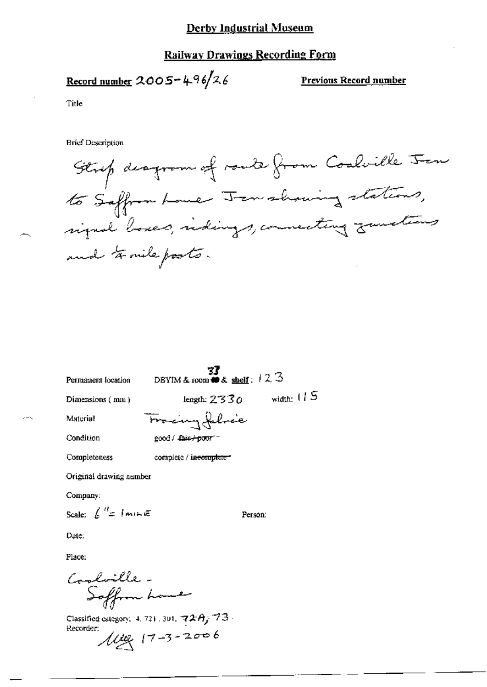### **Railway Drawings Recording Form**

Record number 2005-496/26

**Previous Record number** 

Title

**Brief Description** 

Strip desprem of route from Coolville Fer to Saffrom Love Jenshowing stations, signal boxes, ridings, connecting zundtens and to mile posts.

Permanent location

**33**<br>DBYIM & room  $\bullet$  & shelf:  $123$ 

Person:

Dimensions (mm)

length:  $2330$  width:  $115$ Traingfabric

Condition

Material

good / fair+poor""

Completeness

complete / incomplete\*

Original drawing number

Company:

Scale:  $\int_0^{H} z \, dm \, d\zeta$ 

Date:

Place:

Conluille -Soffrom home

Classified category: 4, 721, 301,  $72A$ ,  $73$ . Recorder:  $1149 (17 - 3 - 2006)$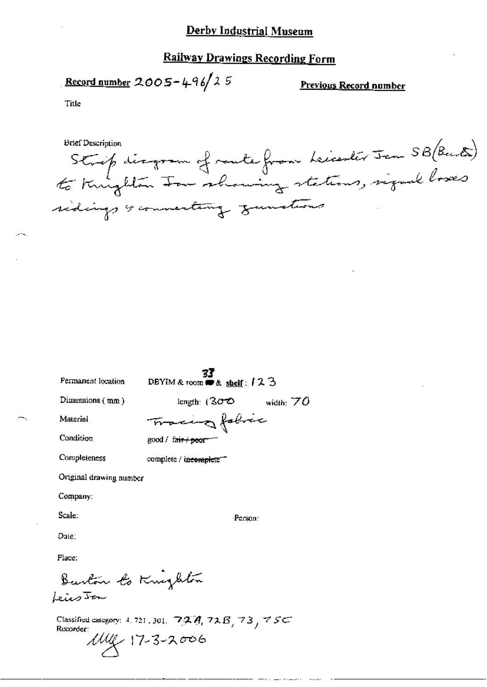#### **Railway Drawings Recording Form**

Record number 2005-496/25

**Previous Record number** 

Title

يمتص

Strip disgram of route from Leicenter Jan SB (Bents)<br>to Knighton Jour schouring stations, signal loses **Brief Description** sidings & connecting zunstens

| Permanent location |  |  |  |
|--------------------|--|--|--|
|--------------------|--|--|--|

**33**<br>DBYIM & room **##** & shelf:  $123$ 

Dimensions (mm)

length:  $(300 \text{ m})$  width:  $70$ Tracing fabric

Material

Condition

good / fair / peor

Completeness

complete / incomplete<sup>-</sup>

Original drawing number

Company:

Scale:

Person:

Date:

Place:

Burton to Knighton LeicoJon

Classified category: 4, 721, 301. 79. A, 72. B, 73, 75C Recorder:  $11/17 - 3 - 2006$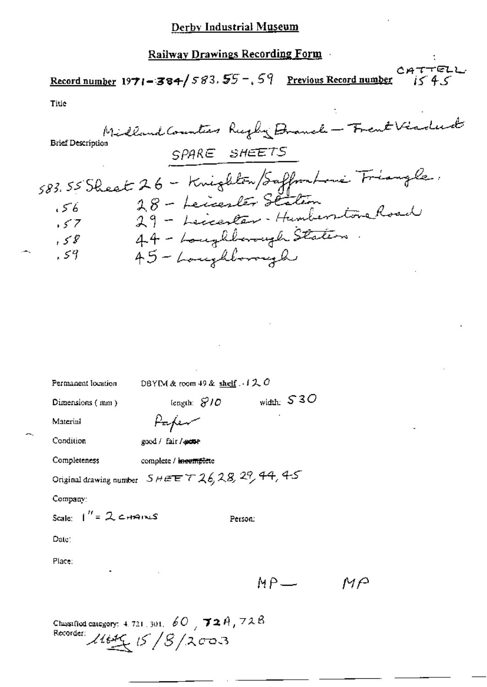# CATTELL<br> $1545$ Record number  $1971 - 384 / 583. 55 - 59$  Previous Record number

 $\ddot{\cdot}$ 

Title

Person:

Condition

Material

Paper good / fair / ecor

Completeness complete / incomplete

Original drawing number  $5$  HEET 26, 28, 29, 44, 4-5

Company:

Scale:  $1'' = 2$  CHAINS

Date:

Place:

 $MP$  —  $M\curvearrowright$ 

Chassified category: 4.721, 301, 60, **72** A, 72 B<br>Recorder:  $\mathcal{U}$ t est  $\mathcal{U}$  (S / S / 2003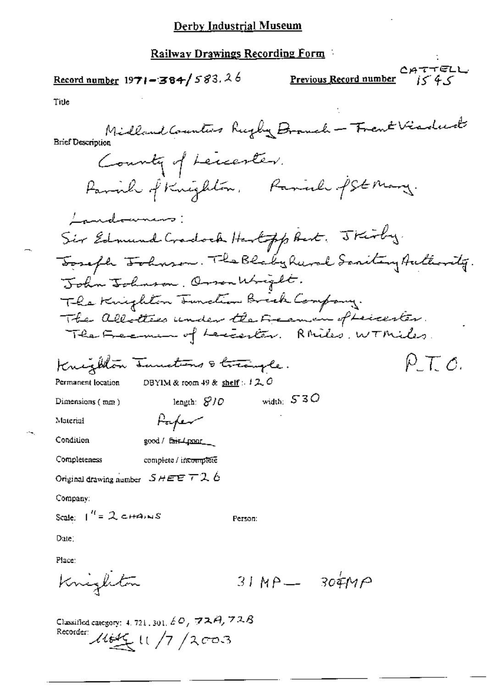Previous Record number  $C_A \tau \tau \in L$ Record number  $1971 - 384 / 583.26$ Title Midland Counters Rugby Donnel - Frent Visduck County of Leccenter. Pariah of Knighton, Pariah of St Mary. Landownans: Sir Edmund Cradock Hartopp But. Jrisby. Toorafle Foluson. The Blaky Rural Sanitary Authority. John Johnson, OrsenWright. The Knighton Function Brick Company. The allotters under the Freaman of Leicester. The France of Lacterian. Railes, WTMiles  $\rho \tau c$ . Knighton Tunctions & trangle. DBYIM & room 49 & shelf :  $12.0$ Permanent location width:  $530$ length:  $S/O$ Dimensions (mm) Parfer Material Condition good / fair (nunt Completeness complete / incomplete Original drawing number  $SHEE T2.6$ Company: Scale:  $I'' = 2$  cHAINS Person: Date: Place: Knighton  $31MP - 304MP$ 

Classified category: 4, 721, 301,  $\not\in O$ ,  $\not\in \mathbb{Z}$ ,  $\not\in \mathbb{Z}/2$ ,  $\mathbb{Z}/2$ ,  $\mathbb{Z}/2$ Recorder: 11645 11/7/2003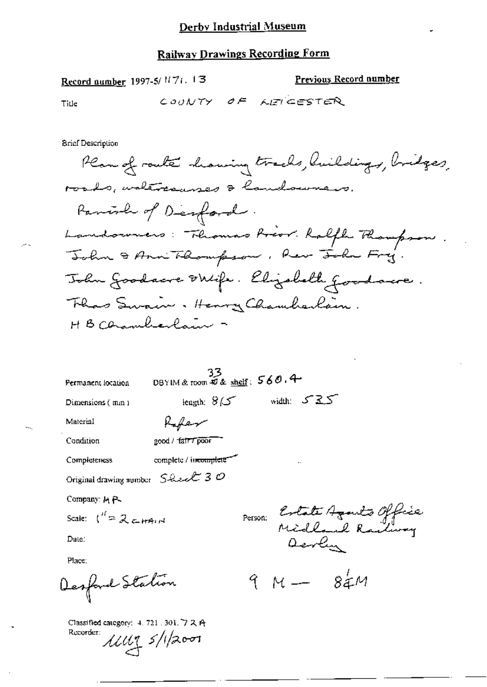Record aumber 1997-5/1171. 13

Previous Record number

Title

COUNTY OF AFICESTER

**Brief Description** 

Plan of route howing tracks, buildings, bridges, roads, untercauses & landouners. Parish of Despard. Landowners: Thomas Prior. Ralfler Thompson John & Anni Thompson, Rev John Fry. John Goodscre Dhife. Elizabeth Goodscre. That Swain. Henry Chamberlain. HB carambierlain -

| Permanent location                                                          | 33<br>DBYIM & room 0 & shelf: 560.4 |                              |  |
|-----------------------------------------------------------------------------|-------------------------------------|------------------------------|--|
| Dimensions (mm)                                                             | length: $8/5$                       | width: $525$                 |  |
| Material                                                                    | Raffer                              |                              |  |
| Condition                                                                   | good / tair7 poor                   |                              |  |
| Completeness                                                                | complete / incomplete"              |                              |  |
| Original drawing number $S$ hand $S$ 0                                      |                                     |                              |  |
| Company: M P                                                                |                                     |                              |  |
| Scale: $\binom{n}{k}$ $\in \mathbb{Z}$ $\subset$ $\forall n \in \mathbb{N}$ |                                     | Person: Estate Agents Office |  |
| Date:                                                                       |                                     | Devlin                       |  |
| Place:                                                                      |                                     |                              |  |
| Desfand Station                                                             |                                     | $9 M - 84 M$                 |  |

Classified category: 4, 721, 301, 7 2 A Recorder:  $\mu$ ung s/1/2001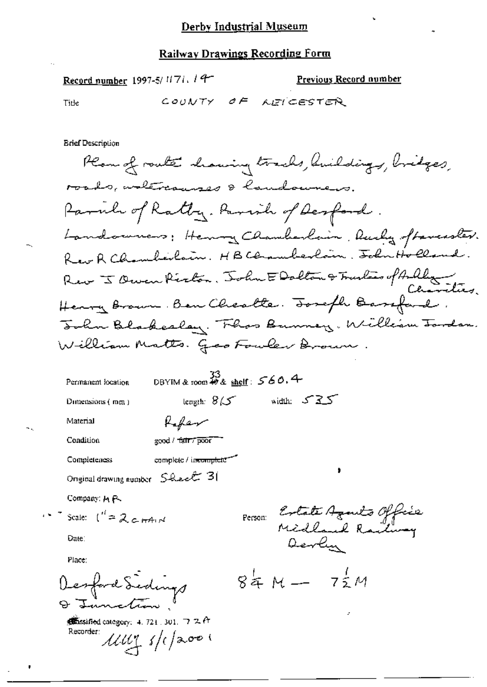$\sim$  .

 $\ddot{\phantom{1}}$ 

 $\pmb{\ast}$ 

Previous Record number

Title

COUNTY OF AETCESTER

**Brief Description** 

Record number 1997-5/1171, 19-

| Permanent location                                                 | DBYIM & room # & shelf: $560.4$     |         |               |                                          |  |
|--------------------------------------------------------------------|-------------------------------------|---------|---------------|------------------------------------------|--|
| Dimensions $(mn)$                                                  | length: $8\sqrt{2}$                 |         | width: $525$  |                                          |  |
| Material                                                           | Kaffan                              |         |               |                                          |  |
| Condition                                                          | good / fair / poor                  |         |               |                                          |  |
| Completeness                                                       | complete / in <del>complet</del> e" |         |               |                                          |  |
| Original drawing number Sheet 31                                   |                                     |         |               | ٠                                        |  |
| Company: M.P.                                                      |                                     |         |               |                                          |  |
| Scale: $\binom{n}{k}$ $\geq$ $\geq$ $\frac{1}{k}$ $\frac{1}{k}$    |                                     | Person: |               | Estate Azanto Officia<br>Midlaud Railway |  |
| Date:                                                              |                                     |         |               |                                          |  |
| Place:                                                             |                                     |         |               |                                          |  |
| Desford Sedings                                                    |                                     |         | $84 M - 72 M$ |                                          |  |
|                                                                    |                                     |         |               | z                                        |  |
| <b>Whissified</b> category: $4.721.301.72$ $\uparrow$<br>Recorder: | $\mu$ uy s/(aoo                     |         |               |                                          |  |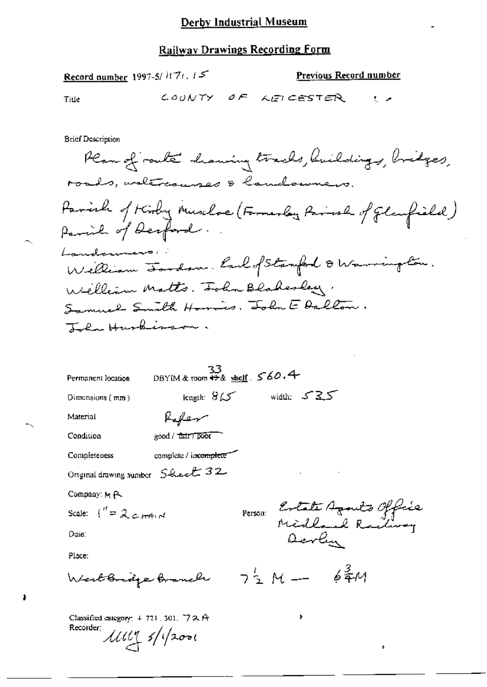| Record number 1997-5/ $117t$ , $157$ |           |  | Previous Record number                                                                |                 |
|--------------------------------------|-----------|--|---------------------------------------------------------------------------------------|-----------------|
| Title                                | COUNTY OF |  | AEI CESTER                                                                            | <b>Contract</b> |
| <b>Brief Description</b>             |           |  | Plan of route showing tracks, Anildings, bridges,<br>roads, waltroannes & landowners. |                 |

Parish of Kirby Musclae (Famerlay Parish of Glanfield) Parish of Despard. Landonners William Jordon. Land of Stamford & Warrington. Welliam Matts. John Bladeslag. Samuel Smith Horries. John E Dalton. John Hurbisson.

| Permanent location                 | DBYIM & toom $\stackrel{33}{\leftrightarrow}$ shelf $.$ 560.4 |                             |  |
|------------------------------------|---------------------------------------------------------------|-----------------------------|--|
| Dimensions $(mn)$                  | iength: گر/ iength:                                           | width: $525$                |  |
| Material                           |                                                               |                             |  |
| Condition                          | good / fair7 poor                                             |                             |  |
| Completeness                       | complete / incomplete                                         |                             |  |
| Original drawing number Sheet 32   |                                                               | and the company of the      |  |
| Company: M.P.                      |                                                               |                             |  |
| Scale: $\int_0^t = 2c \pi A_1 A_2$ |                                                               | Person Estate Agents Office |  |
| Оаке∶                              |                                                               |                             |  |
| Place:                             |                                                               |                             |  |

Wert Bridge Branch

 $6\frac{3}{4}$ M  $7\frac{1}{2}$  M  $-$ 

Classified category: + 721 . 301. 72 A Recorder:  $\mathcal{U}(\mathcal{U}^n)$   $\mathcal{V}^n$  2001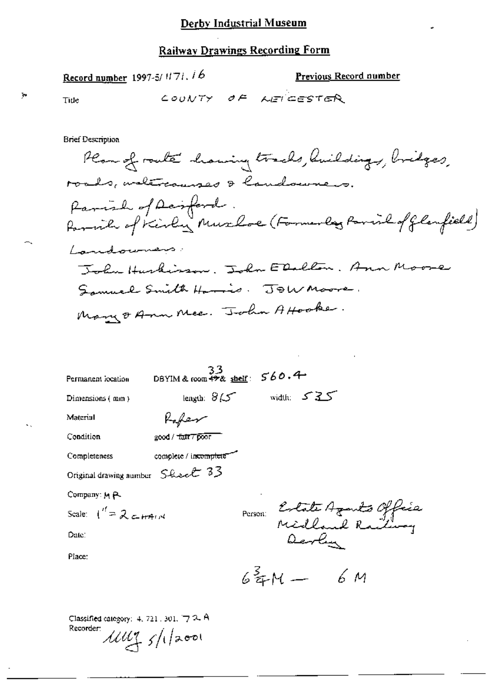#### **Railway Drawings Recording Form**

COUNTY OF NEIGESTER

**Brief Description** Plan of route howing tracks, huildings, bridges, roads, waltrayings & landowners. Parish of Daspord. Farmily of Kirley Muxloe (Formerlag Parish of Glenfield) Landowners John Hurkisson. John EDalton. Ann Moore Samuel Smith Harris. JOW Moore. Many & Ann Mee. John AHooke.  $\frac{33}{28}$  DBYIM & room  $\frac{33}{28}$  shelf:  $560.4$ Permanent iccation length:  $8/5$  width:  $535$ Dimensions (mm) Rofer Material good / fair 7 poor Condition complete / incomplete Completeness Original drawing number Shock 33

Company: M P.

Scale:  $\int^{\prime} = 2 \epsilon \ln 4 \pi x$ 

Record number 1997-5/1171. 16

Tide

Date:

Place:

Person: Estate Azanto Office

Previous Record number

 $63 + M - 6 M$ 

Classified category:  $4, 721, 301, 772$ . A Recorder:  $111175/12001$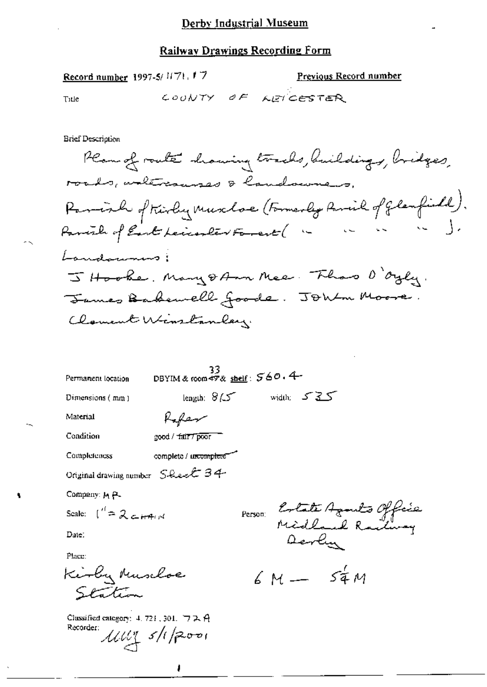COUNTY OF LETCESTER

**Brief Description** Plan of route showing tracks, huildings, bridges, roads, antercanzes & landowners. Parish of tirey murlos (Formerly Parish of Glenfield). Parish of East Leicenler Fament ( " " " "). Landenmens! J Hooke, Many & Ann Mee. Those D'Oyly. James Bakewell goode. John Moore Clament Winstanley. 33<br>DBYIM & room 47 & shelf:  $560.4$ Permanent location length:  $8/5$  width:  $535$ Dimensions (mm) Refer Material Condition good / fair / poor complete / urcomplete Completeness Original drawing number Sheet 34 Company: M P. Person Estate Agents Office<br>Midland Radway Scale:  $\int_{0}^{t} = 2c \pm \pi$ 

 $6M - 54M$ 

Date:

Place:

Kirby Muscloe Station

Classified category: 4.721, 301. フスA Recorder:  $11111$   $511$   $(2001$ 

Previous Record number

Title

Record number 1997-5/1171, 17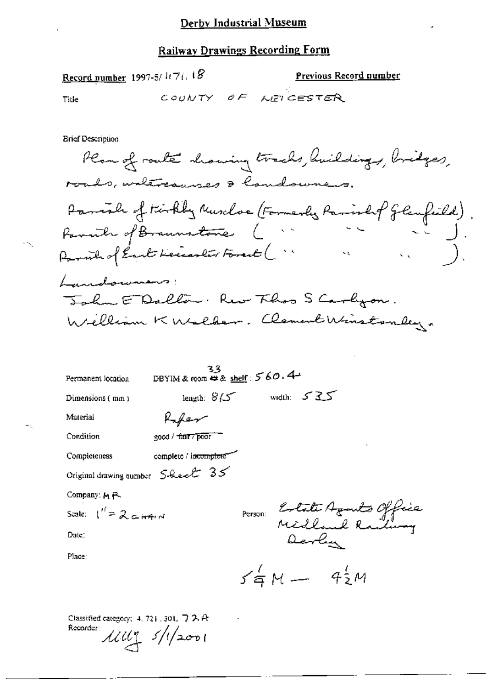Record number 1997-5/1(7), 18 Previous Record number COUNTY OF NEICESTER Title **Brief Description** Plan of route showing tracks, huildings, bridges, roads, waltreasyes & landowners. Parish of tirkly Nurchoe (Formerly Parish); Parish of Braunstone ( "  $\mathcal{L}_{\text{max}}$  and  $\mathcal{L}_{\text{max}}$ Parado of East Leccenter Forest (" Landowners Jake EDallow. Rev Thos S Carlyon. William K Walker. Clament Winstanley. 33<br>DBYIM & room # & shelf:  $560.4$ Permanent location length:  $8/5$  width:  $535$ Dimensions  $(mn)$ Rafer Material Condition good / fair 7 poor " complete / incomplete Completeness Original drawing number  $S$ -LevE  $35$ 

Company: M P-

Scale:  $\int_0^t = 2c \sin 4t dt$ 

Date:

Place:

Person: Estate Agents Office

 $34/M - 42M$ 

Classified category: 4, 721, 301,  $\bigtriangledown$   $\bigtriangledown$   $\bigtriangleup$   $\bigtriangleup$ Recordur:  $1111 - 5/1/2001$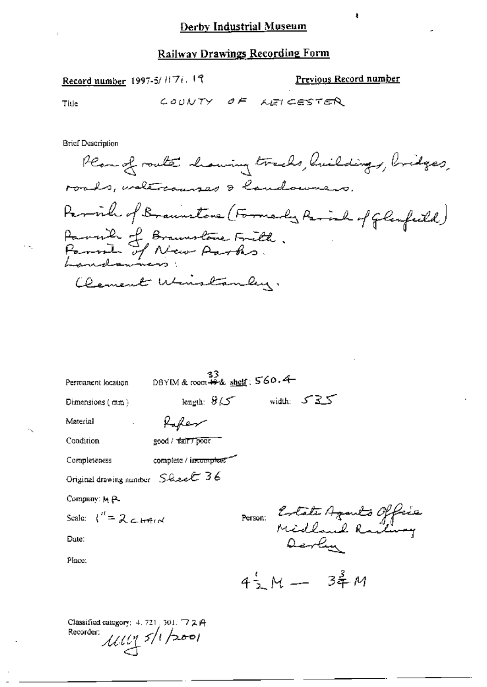Record number 1997-5/H7i, 19

Previous Record number

Title

COUNTY OF LEICESTER

**Brief Description** 

Plan of route howing tracks, huildings, bridges, roads, untercauses & landounces. Parvil of Brauntone (Formerly Parish of Glenfeild)<br>Parvil of Braunstone Frith.<br>Format of New Partis. Clement Winstanley.

| Permanent location                 | $^{33}_{\text{DBYIM\& room}}$ $^{49}_{\text{49}\& \text{ shell}}$ : 560.4 |                                            |                               |  |
|------------------------------------|---------------------------------------------------------------------------|--------------------------------------------|-------------------------------|--|
| Dimensions (mm)                    | length: $8\sqrt{5}$ width: $5\sqrt{25}$                                   |                                            |                               |  |
| Material                           | Kafee                                                                     |                                            |                               |  |
| Condition                          | good / fair / poor                                                        |                                            |                               |  |
| Completeness                       | complete / incomplete"                                                    |                                            |                               |  |
| Original drawing number Sheet 36   |                                                                           |                                            |                               |  |
| Company: M.P.                      |                                                                           |                                            |                               |  |
| Scale: $\binom{n}{k} = 26$ control |                                                                           |                                            | Person: Estata Aganto Officia |  |
| Date:                              |                                                                           |                                            |                               |  |
| Place:                             |                                                                           |                                            |                               |  |
|                                    |                                                                           | $4\frac{1}{2}$ M $-$ 3 $\stackrel{2}{3}$ M |                               |  |
|                                    |                                                                           |                                            |                               |  |

Classified category: 4, 721, 301, 72 A Recorder:  $\mu$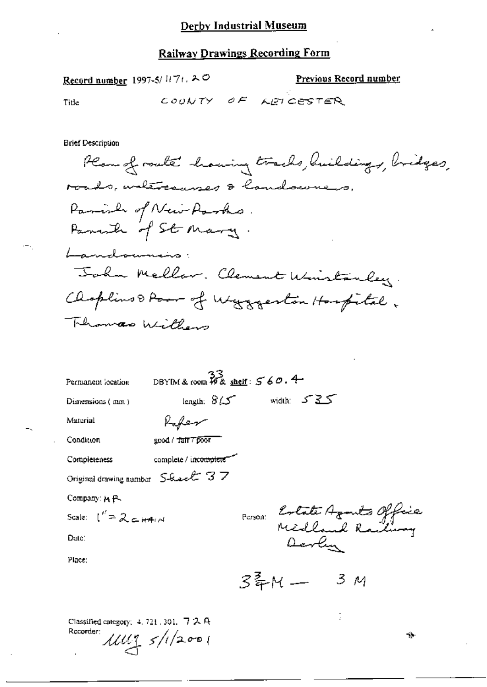Record number 1997-5/1171.20

Previous Record number

Title

 $\cdot - \cdot$ 

**Brief Description** 

| Permanent location                                                  | DBYIM & room $\frac{33}{46}$ & shelf: $560.4$ |                              |       |  |
|---------------------------------------------------------------------|-----------------------------------------------|------------------------------|-------|--|
| Dimensions (mm)                                                     | length: $8/5$                                 | width: $535$                 |       |  |
| Material                                                            | Kafeer                                        |                              |       |  |
| Condition                                                           | good / fair 7 poor                            |                              |       |  |
| Completeness                                                        | complete / incomplete                         |                              |       |  |
| Original drawing number S-heart 37                                  |                                               |                              |       |  |
| Company: M.P.                                                       |                                               |                              |       |  |
| Scale: $\binom{n^2}{n}$ $\geq$ $\geq$ $\mapsto$ $\mapsto$ $\mapsto$ |                                               | Purson: Estate Agents Office |       |  |
| Date:                                                               |                                               | Devlin                       |       |  |
| Place:                                                              |                                               |                              |       |  |
|                                                                     |                                               | 3年M --                       | - 3 M |  |
| Classified category: $4.721.301.72$ A<br>Rccorder:                  | 11111 5/1/2001                                |                              | t.    |  |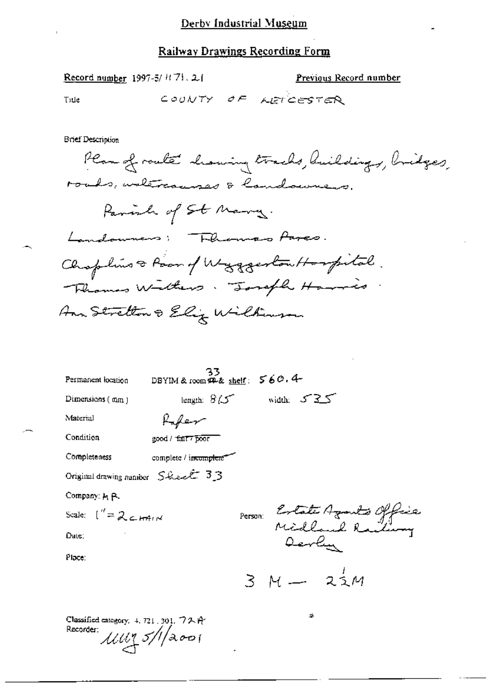Record number 1997-5/ H 71, 2.1

Previous Record number

Title

COUNTY OF LETCESTER

**Brief Description** 

Plan of route discurry tracks, huildings, bridges, roads, untercourses & landowners. Parish of St Marry. Landowners: Fleamas Pares. Choplins & Poor of Wyggeston Hospital. Thomas Withers. Joseph Harris Ann Stretton & Eliz Wilkinson

| Permanent location                                             | 33<br>DBYIM & room $\overline{\mathfrak{su}}\&$ shelf: $560.4$ - |                            |                              |
|----------------------------------------------------------------|------------------------------------------------------------------|----------------------------|------------------------------|
| Dimensions (mm)                                                |                                                                  | length: $8/5$ width: $525$ |                              |
| Material                                                       | Kafee                                                            |                            |                              |
| Condition                                                      | good / tarr poor                                                 |                            |                              |
| Completeness                                                   | complete / incomplete                                            |                            |                              |
| Original drawing number Sheet 33                               |                                                                  |                            |                              |
| Company: H P.                                                  |                                                                  |                            |                              |
| Scale: $\int_{0}^{\pi} = 2C \cos \theta$                       |                                                                  |                            | Person Estate Azants Officia |
| Date:                                                          |                                                                  | Oeve                       |                              |
| Place:                                                         |                                                                  |                            |                              |
|                                                                |                                                                  | $3 M - 22M$                |                              |
| Classified category: $4, 721, 301, 72$ A $\theta$<br>Recorder: | 111175/1/2001                                                    | 港                          |                              |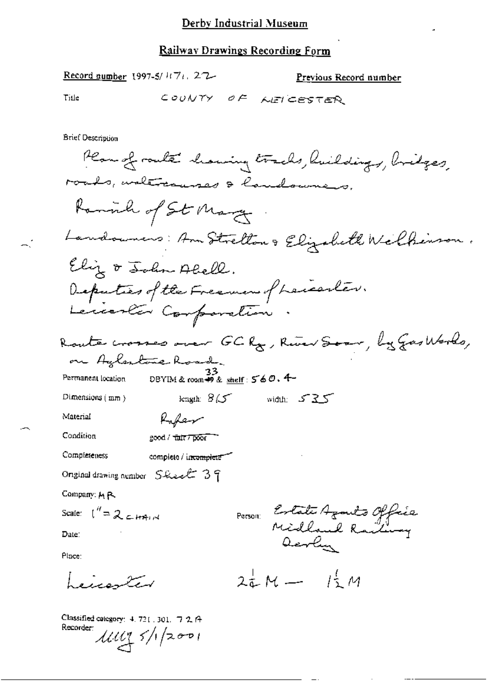Previous Record number

Record aumber 1997-5/1(7), 27-

| Title<br>COUNTY<br>οF<br><b>AEI CESTER</b>                                            |
|---------------------------------------------------------------------------------------|
| <b>Brief Description</b>                                                              |
| Plan of route chaning tracks, huildings, bridges,<br>roads, untercauses & landoumers. |
| Raminh of St Mary                                                                     |
| Landowners: Am Strellon & Elizabeth Welkenson.                                        |
| Eliz & John Abell.                                                                    |
| Deputies of the Freeman of Leccenter.                                                 |
| Leccenter Comparation                                                                 |
| Route crosses over GCRg, Rue Soor, by Gas Works,                                      |
| on Azlenbouchand.                                                                     |
| Permanent location<br>DBYIM&room毎&shelf:560.4-                                        |
| length: $8\sqrt{ }$<br>Dimensions $(mn)$<br>width: 535                                |
| Material<br>Rafen                                                                     |
| Condition<br>good / चंब्रोर / poor                                                    |
| Completeness<br>complete / incomplete                                                 |
| Original drawing number Sheet 39                                                      |
| Company: MR                                                                           |
| Scale: $\binom{n}{k} = 2$ class of                                                    |
| Person Estate Azanto Office<br>Midland Railway<br>Octure<br>Date:                     |
| Place:                                                                                |
| $2\frac{1}{2}M - \frac{1}{2}M$<br>بستر مسترسد مرز و                                   |

Classified category: 4, 721, 301, 7 2 ft Recorder  $11175/12001$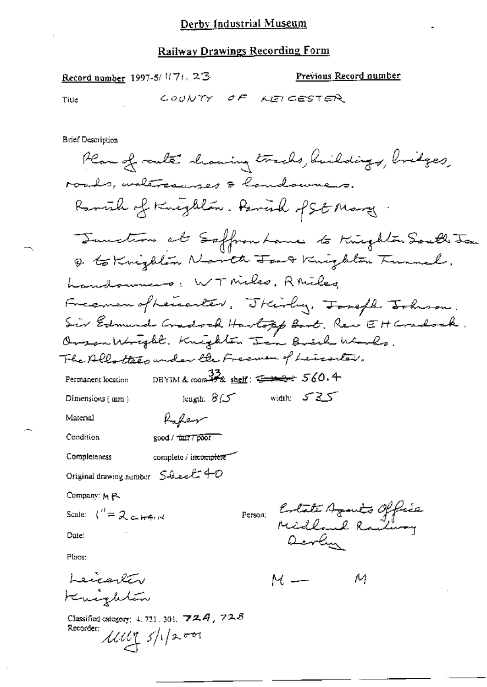Record number 1997-5/1171, 23

Previous Record number

Title

COUNTY OF NETCESTER

**Brief Description** 

Plan of route howing tracks, huildings, bridges, roads, watercauses & handowners. Ravish of Knighton. Pavish of St Mary Janction at Saffron Lane to Knighton South Jon Q to Knighton Navith Jan & Knighton Tunnal. handoumers: WT Miles, Rhiles Freeman ofherealer, Thirly, Toreph Johnson. Sir Edmund Cradock Hartopp Bart. Rev EH Cradock. Orsanktright. Knighten Jen Brich Works. The Allotteen under the Freeman of Leicenter. DBYIM & room  $\frac{32}{78}$  shelf:  $\frac{22}{78}$   $560.4$ Permanent location length:  $8/5$  width:  $535$ Dimensions (mm) Rafter Material good / tair / poor Condition complete / incomplete Completeness Original drawing number  $S$ -Lect  $+0$ Company: M P. Person: Estate Agants Office Scale:  $\binom{n}{k} = 2$  c  $n+1$ Date: Devly Place: Leicenter  $M \rightarrow$ М Knightin Classified category: 4, 721, 301,  $\mathcal{V} \mathcal{A} \mathcal{A}$ ,  $\mathcal{V} \mathcal{A} \mathcal{B}$ 

Recorder:  $\mu$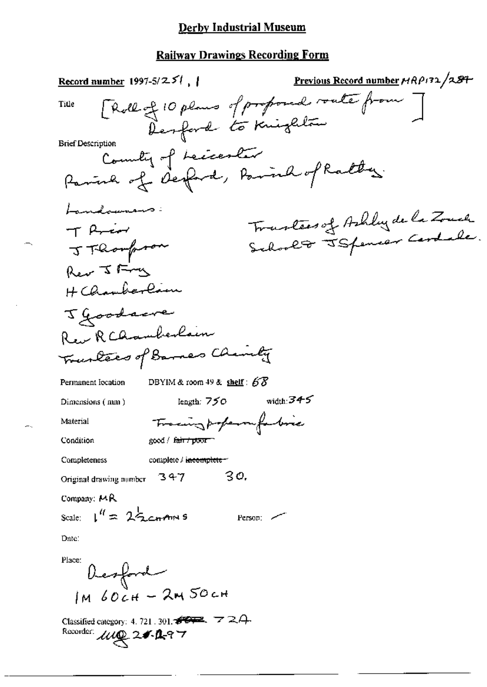# **Railway Drawings Recording Form**

| Record number $1997-5/25$ ,                                                | Previous Record number HRP132/287 |
|----------------------------------------------------------------------------|-----------------------------------|
| [Roll of 10 plans of proposed route from ]<br>Title<br>Desport to Knighton |                                   |
| <b>Brief Description</b><br>Country of Leicenter                           |                                   |
| Parink of defand, Parink of Ratters.                                       |                                   |
| Landamans:<br>T Arcor                                                      | Trastees of Ashley de la Zouch    |
| J Thompson                                                                 |                                   |
| Rev I Fry<br>H Chamberlam                                                  |                                   |
| Jgoodscre                                                                  |                                   |
| Rew R Chamberlain                                                          |                                   |
| Tranless of Barnes Chainty                                                 |                                   |
| DBYIM & room 49 & shelf: $68$<br>Permanent location                        |                                   |
| width: $345$<br>length: 750<br>Dimensions (mm)                             |                                   |
| Tracing popera for bire<br>Material                                        |                                   |
| Condition<br>good / fair / poor                                            |                                   |
| Completeness<br>complete / incomplete-                                     |                                   |
| 30.<br>Original drawing number 347                                         |                                   |
| Company: MR                                                                |                                   |
| Scale: $1^{\prime\prime} = 22$ continues<br>Person:                        |                                   |
| Date:                                                                      |                                   |
| Place:<br>Desford<br>IM 60CH - 2M 50CH                                     |                                   |
|                                                                            |                                   |
| Classified category: 4, 721, 301, $\bullet$<br>Recorder <i>lug</i> 24.0-97 |                                   |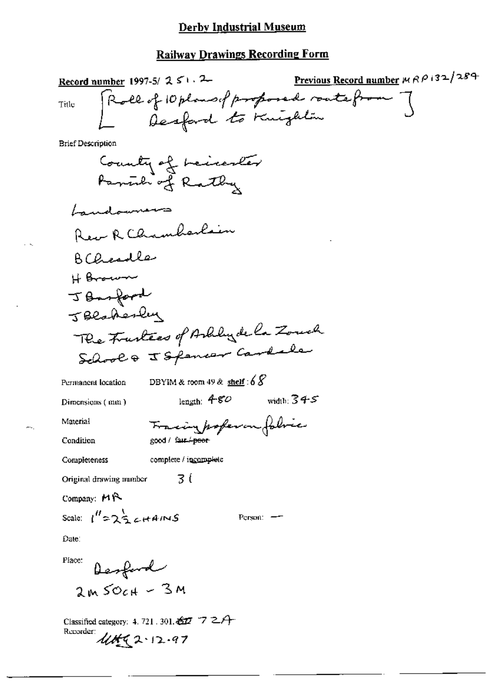# **Railway Drawings Recording Form**

 $\sim$   $\sim$ 

 $\sim$ 

| Previous Record number $M \wedge P$ (32/284)<br>Record number 1997-5/ $2 \leq 1.2$ |
|------------------------------------------------------------------------------------|
| Roll of 10 plans of proposad rate from ]<br><b>Title</b>                           |
|                                                                                    |
| <b>Brief Description</b>                                                           |
| County of Leicenter                                                                |
| Panul of Ratby                                                                     |
| ستستستسملمند                                                                       |
| Rev R Chamberlain                                                                  |
| BCheadle                                                                           |
| H Brown                                                                            |
| JBarford                                                                           |
| JBlahesley                                                                         |
| The Trustees of Ashlydela Zonal                                                    |
| School & I Spancar Cardele                                                         |
| DBYIM & room 49 & $\frac{\text{shell}}{365}$ : 6 $\beta$<br>Permanent location     |
| width: $345$<br>length: $480$<br>Dimensions (mm)                                   |
| Fracing profer on folice<br>Material                                               |
| Condition<br>good / fair. <del>poor</del>                                          |
| complete / incomplete<br>Completeness                                              |
| $-3($<br>Original drawing number                                                   |
| Company: MR                                                                        |
| Scale: $\int_{0}^{H}2\frac{1}{2}C H^{4}/NS$<br>Person:                             |
| Date:                                                                              |
| Place:<br>Theorford<br>2m50cH - 3M                                                 |
|                                                                                    |
| Classified category: 4, 721, 301, $\frac{27}{27}$ 7 $2$ $\rightarrow$              |
| Recorder:<br>41492.12.97                                                           |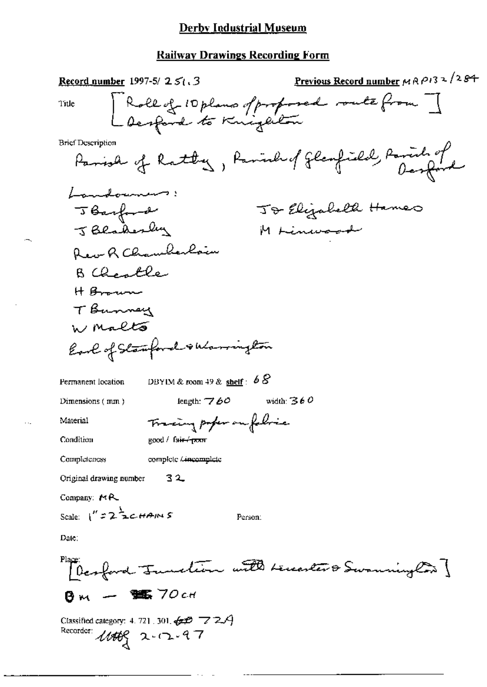## **Railway Drawings Recording Form**

| <b>Record number</b> 1997-5/2 $5$ (, 3)                                                                                                     | <u>Previous Record number</u> $M \wedge P$ 13 2 / 2 $S$ 4 |
|---------------------------------------------------------------------------------------------------------------------------------------------|-----------------------------------------------------------|
| Roll of 10 plans of proforced route from ]<br>Title                                                                                         |                                                           |
| <b>Brief Description</b>                                                                                                                    |                                                           |
| Parish of Ratty, Parish of Glanfield, Parish of                                                                                             |                                                           |
| Lamalounners:                                                                                                                               |                                                           |
| JBarfond                                                                                                                                    | J& Elizabeth Hames                                        |
| J Blakesly<br>M Linusonl                                                                                                                    |                                                           |
| Rev R Chamberlain                                                                                                                           |                                                           |
| B Chartle                                                                                                                                   |                                                           |
| H Brown                                                                                                                                     |                                                           |
| T Bunney                                                                                                                                    |                                                           |
| W Malts                                                                                                                                     |                                                           |
| Earl of Stamford & Warrington                                                                                                               |                                                           |
| DBYIM & room 49 & shelf: $68$<br>Permanent location                                                                                         |                                                           |
| width: $360$<br>length: $\mathcal{A}\phi\phi$<br>Dimensions (mm)                                                                            |                                                           |
| Tracing profer on follower<br>Material                                                                                                      |                                                           |
| Condition<br>$3000 + 13 + 1777$                                                                                                             |                                                           |
| Completeness<br>complete Lincomplete                                                                                                        |                                                           |
| Original drawing number<br>32                                                                                                               |                                                           |
| Company: $M_{\text{R}}$                                                                                                                     |                                                           |
| Scale: $1''$ = $2\frac{1}{2}$ c <i>HAINS</i><br>Person:                                                                                     |                                                           |
| Date:                                                                                                                                       |                                                           |
| Place:<br>Tuncture with tenester & Swamning Con                                                                                             |                                                           |
| $\frac{1}{2}$ $\frac{1}{2}$ $\frac{1}{2}$ $\frac{1}{2}$ $\frac{1}{2}$ $\frac{1}{2}$ $\frac{1}{2}$ $\frac{1}{2}$ $\frac{1}{2}$ $\frac{1}{2}$ |                                                           |
| Classified category: 4. 721, 301, $\cancel{\text{G2}}$ $\rightarrow$ 2.4<br>Recorder: $1000 - 200 - 97$                                     |                                                           |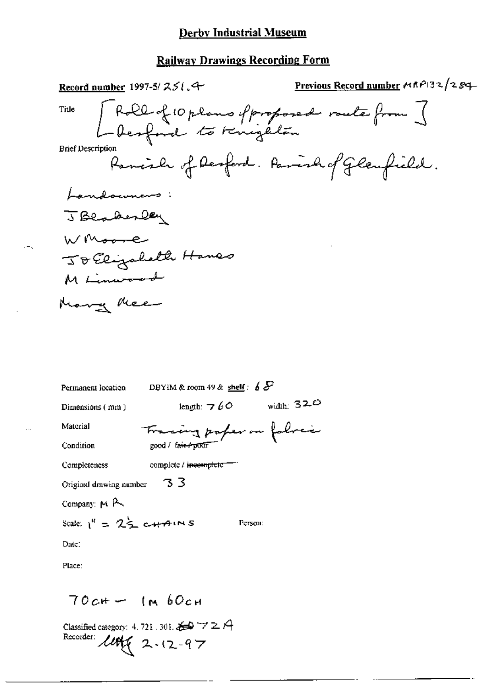### **Railway Drawings Recording Form**

| Record number 1997-5/ $251.4$                               | Previous Record number MRP132/284 |
|-------------------------------------------------------------|-----------------------------------|
| [ Roll of 10 plans of proposed route from ]<br>Title        |                                   |
| <b>Brief Description</b>                                    |                                   |
| Parish of Respond. Parish of Glaufield.                     |                                   |
| Landownans:                                                 |                                   |
| JBeskerley                                                  |                                   |
| W Moore                                                     |                                   |
| Jo Elizabeth Hanes                                          |                                   |
| M Linural                                                   |                                   |
| الامتسير الاقف                                              |                                   |
|                                                             |                                   |
|                                                             |                                   |
| DBYIM & room 49 & shelf: $65^{\circ}$<br>Permanent location |                                   |
| length: $\overline{7}$ 60<br>Dimensions (mm)                | width: $320$                      |
| Material<br>$\tau$                                          |                                   |

٢ Condition good / fair + p007 Completeness complete / incomplete" Original drawing number  $-33$ Company: MR Scale:  $1^4 = 2\frac{1}{2}$  chains Person: Date: Place:

Classified category: 4.721.301.  $\angle 9$   $\rightarrow$   $\angle$  A<br>Recorder:  $\angle 4$ 

 $70c# - 1m60c#$ 

 $\lambda = \lambda$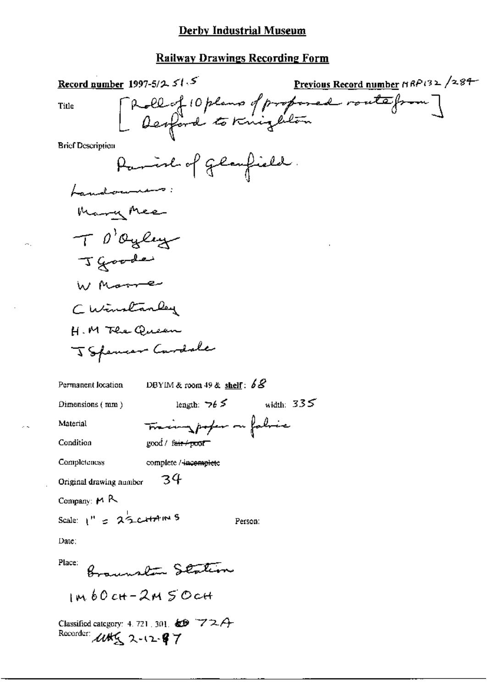**Railway Drawings Recording Form** 

Record number 1997-5/2  $51.5$ <u>Previous Record number</u>  $f(RP(32)/287)$ [Roll of 10 plans of proposed route from] Title **Brief Description** Parish of glanfield. Landounans: Mary Mee TO'Oyley J Goode W Marre CWinstanley H.M The Queen J Spencer Cardole DBYIM & room 49 & shelf:  $68$ Permanent location length:  $\neg \theta \geq$ width:  $335$ Dimensions (mm) Tracing poper on fabric Material Condition good / fair + poor Completeness complete / incomplete 34 Original drawing number Company:  $M R$ Scale:  $1'' = 25$  cattains 5 Person: Date: Place: Bonualton Station  $100cH - 2M5OcH$ Classified category: 4, 721, 301,  $\bigoplus$  72A Recorder units 2-12-87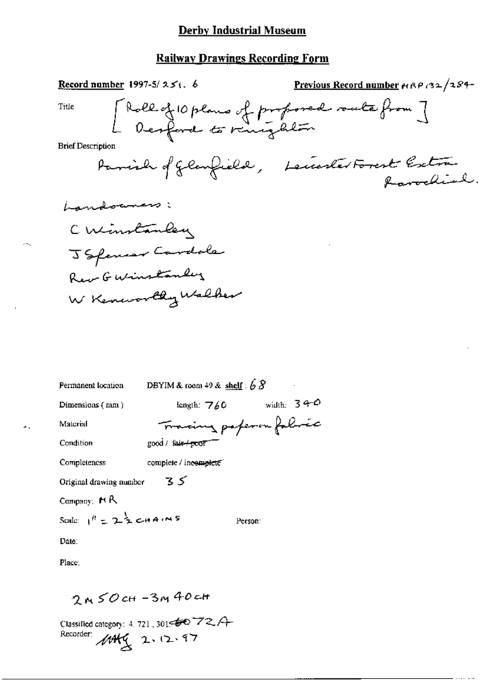### **Railway Drawings Recording Form**

| Record number $1997-5/256.6$      |                               | <b>Previous Record number</b> $A \wedge B$ (32/284-                    |
|-----------------------------------|-------------------------------|------------------------------------------------------------------------|
| Title<br><b>Brief Description</b> |                               | [Roll of 10 plans of proforced route from ]<br>[ Desford to remigation |
|                                   |                               | Parish of Glanfield, Leccenter Forest Estra.                           |
| Landouners:                       |                               |                                                                        |
| C Winstanley                      |                               |                                                                        |
|                                   | JSfancer Cardole              |                                                                        |
| Rev GWinstanley                   |                               |                                                                        |
|                                   | W Kenworthy Walker            |                                                                        |
|                                   |                               |                                                                        |
|                                   |                               |                                                                        |
|                                   |                               |                                                                        |
| Permanent location                | DBYIM & room 49 & shelf: $68$ |                                                                        |
| Dimensions (nm)                   | length: $760$                 | width: $340$                                                           |
| Material                          | maxing paperon fabric         |                                                                        |
| Condition                         | good / fair / poor            |                                                                        |
| Completeness                      | complete / incomplete         |                                                                        |
| Original drawing number           | 35                            |                                                                        |
| Company: $H R$                    |                               |                                                                        |

Scale:  $1^h = 2\frac{1}{2}$  chains

Person:

Date:

 $\sigma \equiv \sigma_{\rm e}$ 

 $\overline{\phantom{a}}$  .

Place:

 $2M50cH - 3M40cH$ 

Classified category: 4, 721, 301-6072A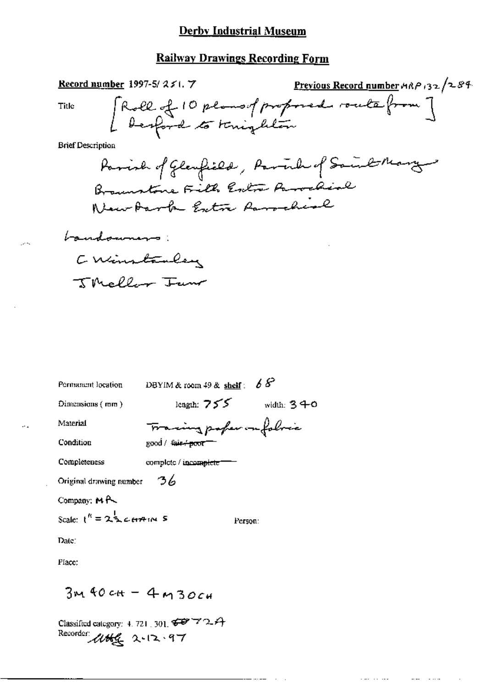#### **Railway Drawings Recording Form**

Previous Record number HRP 132/284 Record number 1997-5/251.7 [Roll of 10 plans of proposed route from ] Title **Brief Description** Parish of Glanfield, Parish of Saint-Mary Brounstone Fille Entre Parochial Maurbark Entre Parochial boundowners: C Winstanley The Plan Trung DBYIM & room 49 & shelf:  $68$ Permanent location length:  $755$  width: 340 Dimensions (mm) Francing profer in followic Material Condition good / fair <del>/ poor</del> Completeness complete / incomplete -Original drawing number  $36$ Company: MA Scale:  $t^h = 2\frac{1}{2}c_H\pi m$  s Person:

Date:

Place:

 $3m40cft - 4m30cft$ 

Classified category: 4, 721, 301,  $\overleftrightarrow{\bullet}$   $\overleftrightarrow{ }$   $\rightarrow$   $\rightarrow$   $\leftrightarrow$ Recorder Uttle 2.12.97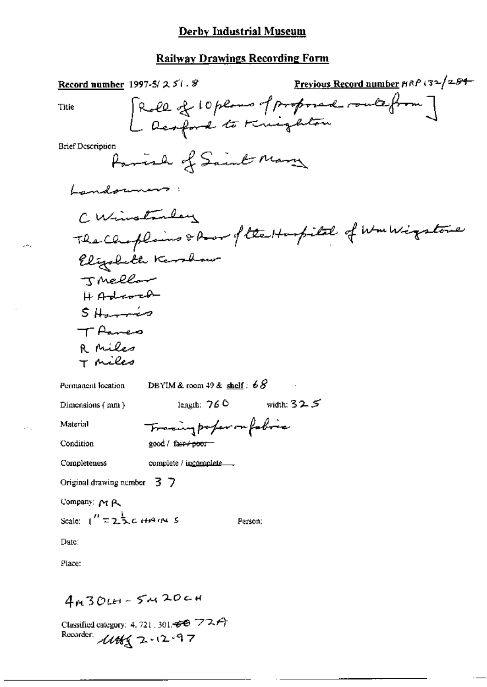### **Railway Drawings Recording Form**

| Record number 1997-5/ $251.8$                                        | Previous Record number HRP 132/284         |
|----------------------------------------------------------------------|--------------------------------------------|
| Title                                                                | [Roll of 10 plans of proposant route from] |
| <b>Brief Description</b><br>Farish of Saint Mary                     |                                            |
| Landormens                                                           |                                            |
| C. Winstanley<br>The Chaplains & Roor of the Harpital of Wm Wigstone |                                            |
| Elizabeth Karshaw                                                    |                                            |
| TMEllar                                                              |                                            |
| $H$ Advard<br>5H                                                     |                                            |
| TPares                                                               |                                            |
| R Miles                                                              |                                            |
| T Miles                                                              |                                            |
| DBYIM & room $49$ & shelf: $68$<br>Permanent location                |                                            |
| length: $760$ width: $325$<br>Dimensions (mm)                        |                                            |
| Fracing profer on fabric<br>Material                                 |                                            |
| good / fair+poor<br>Condition                                        |                                            |
| Completeness<br>complete / incomplete                                |                                            |
| Original drawing number $\overline{3}$                               |                                            |
| Company: MR                                                          |                                            |
| Scale: $1'' = 2\frac{1}{2}c$ HAM S<br>Person:                        |                                            |
| Date:                                                                |                                            |
| Place:                                                               |                                            |
| $4n30$ LH - $5n30$ CH                                                |                                            |

Classified category: 4.721.301.<del>60</del> 72A

ومعر

 $\bar{\psi}$  .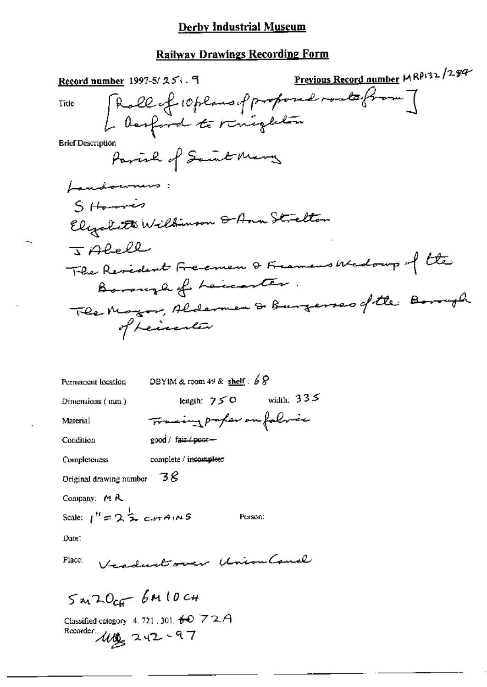## **Railway Drawings Recording Form**

| <u>Record number</u> 1997-5/ 2 5 l . 9                                        | Previous Record number 14 RP132 / 284 |
|-------------------------------------------------------------------------------|---------------------------------------|
| [Roll of 10 plans of proposed roate from ]<br>[ Desford to renighton<br>Title |                                       |
| <b>Brief Description</b><br>Parish of Saint Mary                              |                                       |
| Landonning:                                                                   |                                       |
| $S$ Harris<br>Elizabett Wilbium Or Ann Strelton                               |                                       |
| $7$ Alell<br>The Revident Freemen & Freemans Wedoup of the                    |                                       |
| Borough of Localter.<br>The Mayor, Alderman & Burgerses of the Borough        |                                       |
| of Leiserler                                                                  |                                       |
|                                                                               |                                       |

| Permanent location                                             | DBYIM & room 49 & shelf: $68$         |  |  |
|----------------------------------------------------------------|---------------------------------------|--|--|
| Dimensions (mm)                                                | length: $75^\circ$ width: $335^\circ$ |  |  |
| Material                                                       | Francing proper on followice          |  |  |
| Condition                                                      | good / fair / poor-                   |  |  |
| Completeness                                                   | complete / incomplete                 |  |  |
| 38<br>Original drawing number                                  |                                       |  |  |
| Company: $M R$                                                 |                                       |  |  |
| Scale: $1'' = 2\frac{1}{2}$ catains<br>Person:                 |                                       |  |  |
| Date:                                                          |                                       |  |  |
| Vesductorer UnionCoucl<br>Place:                               |                                       |  |  |
| $5m20cG$ 6M10 $cm$                                             |                                       |  |  |
| Classified category 4, 721, 301, $\bigstar 0$ $\bigcirc$ $72A$ |                                       |  |  |

Recorder  $1/2$ <br>Recorder  $2/3$ 

 $rac{1}{2}$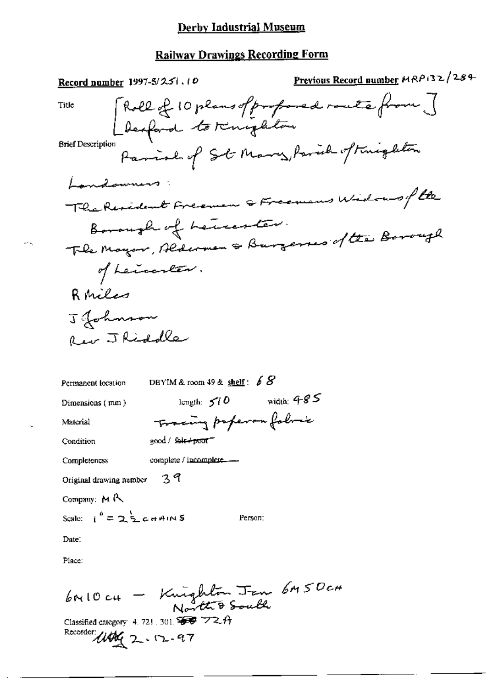## **Railway Drawings Recording Form**

| Record number 1997-5/251.10                                                  | Previous Record number MRP132/284 |
|------------------------------------------------------------------------------|-----------------------------------|
| [Roll of 10 plans of proposed route from ]<br>[desfarat to Knighton<br>Title |                                   |
| <b>Brief Description</b><br>Parish of Sol Mary, Parish of tringleton         |                                   |
| Londowners:                                                                  |                                   |
| The Resident Freeman & Freemans Widows of the                                |                                   |
| Borough of Lencorter.<br>The Mayor, Alderman & Burgerses of the Borough      |                                   |
| of Leicenter.                                                                |                                   |
| R Miles                                                                      |                                   |
| J Johnson                                                                    |                                   |
| Rev J Riddle                                                                 |                                   |
| DBYIM & room 49 & shelf: $68$<br>Permanent location                          |                                   |
| width: 485<br>length: $50$<br>Dimensions (mm)                                |                                   |
| Fracing properoufolise<br>Material                                           |                                   |
| good / fair + pour<br>Condition                                              |                                   |
| complete / incomplete<br><b>Completeness</b>                                 |                                   |
| 39<br>Original drawing number                                                |                                   |
| Company: MR                                                                  |                                   |
| Scale: $1^h = 2.5$ c et AINS<br>Person:                                      |                                   |
| Date:                                                                        |                                   |
| Place:                                                                       |                                   |
| $6010c_{H}$ - Knighton Jan $6950c_{H}$                                       |                                   |

Classified category 4.721.301.  $\overline{\bullet}$  72A

е,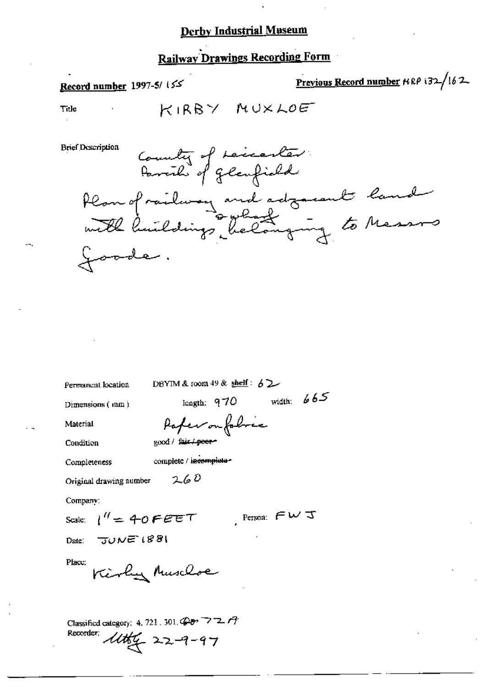### **Railway Drawings Recording Form**

### Record number 1997-5/155

# Previous Record number HRP 132/162

Title

KIRBY MUXLOE

**Brief Description** 



Permanent location

DBYIM & room 49 & shelf:  $62$ 

Dimensions (mm)

leagth:  $970$  width:  $665$ 

Material

Condition

Paperonfolice good / fair / poer-

complete / incomplete-

Completeness

 $260$ Original drawing number

Company:

Scale:  $1'' = 40$  FEET Person:  $FWJ$ 

Date:  $70NE$   $881$ 

Place:

Kirly Muscloe

Classified category: 4, 721, 301,  $\bigoplus$   $\sigma$ <sup>-</sup> $\triangleright$   $\top$ 2,  $\iota$  $\uparrow$ Recorder:  $445622 - 9 - 97$